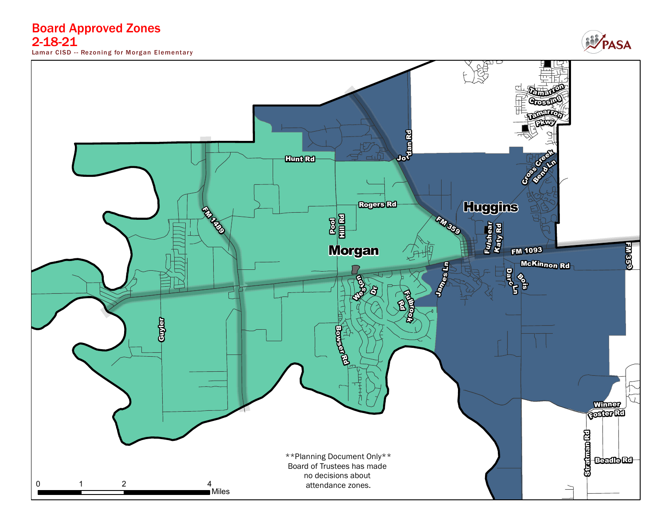Board Approved Zones 2-18-21

**Lamar CISD - - Rezoning for Morgan Elementary**



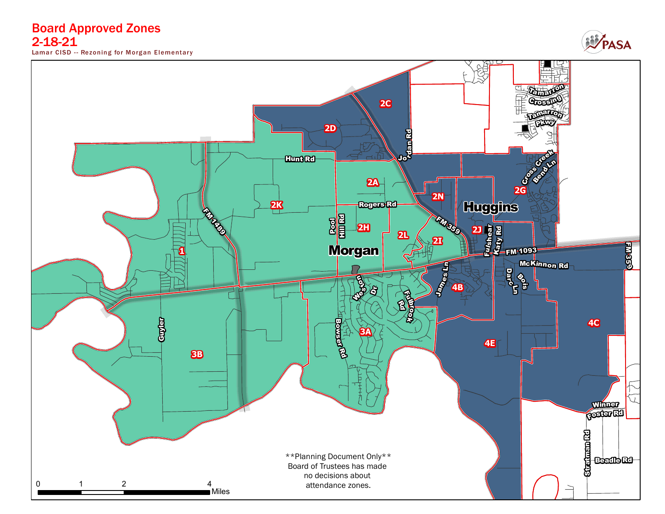Board Approved Zones 2-18-21

**Lamar CISD - - Rezoning for Morgan Elementary**